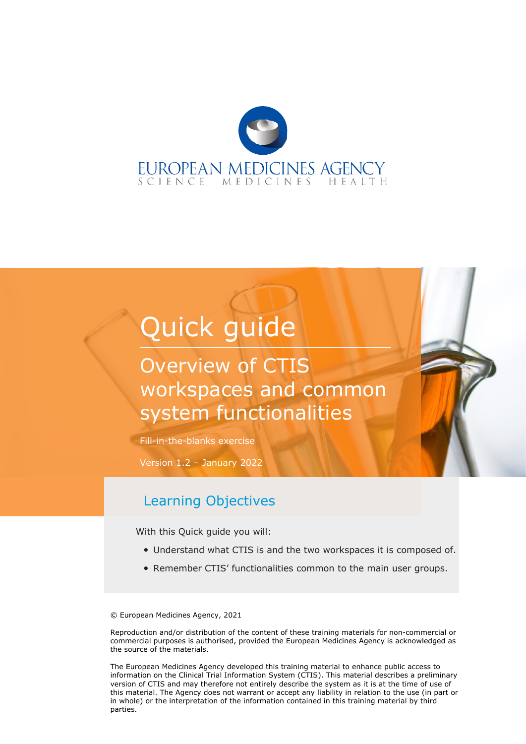

# Quick guide

## Overview of CTIS workspaces and common system functionalities

Fill-in-the-blanks exercise

Version 1.2 – January 2022

#### Learning Objectives

With this Quick guide you will:

- Understand what CTIS is and the two workspaces it is composed of.
- Remember CTIS' functionalities common to the main user groups.

© European Medicines Agency, 2021

Reproduction and/or distribution of the content of these training materials for non-commercial or commercial purposes is authorised, provided the European Medicines Agency is acknowledged as the source of the materials.

The European Medicines Agency developed this training material to enhance public access to information on the Clinical Trial Information System (CTIS). This material describes a preliminary version of CTIS and may therefore not entirely describe the system as it is at the time of use of this material. The Agency does not warrant or accept any liability in relation to the use (in part or in whole) or the interpretation of the information contained in this training material by third parties.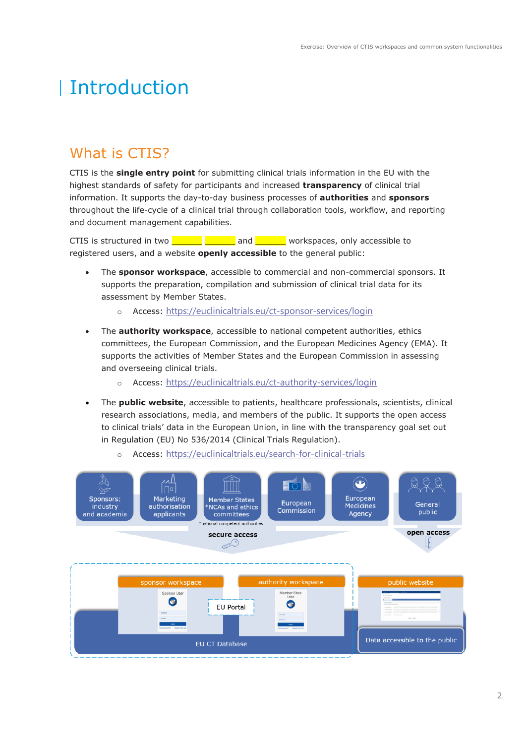# Introduction

## What is CTIS?

CTIS is the **single entry point** for submitting clinical trials information in the EU with the highest standards of safety for participants and increased **transparency** of clinical trial information. It supports the day-to-day business processes of **authorities** and **sponsors**  throughout the life-cycle of a clinical trial through collaboration tools, workflow, and reporting and document management capabilities.

CTIS is structured in two **with the structure of the structure of the structure** and **CTIS** is structured in two **with the structure** registered users, and a website **openly accessible** to the general public:

- The **sponsor workspace**, accessible to commercial and non-commercial sponsors. It supports the preparation, compilation and submission of clinical trial data for its assessment by Member States.
	- o Access: https://euclinicaltrials.eu/ct-sponsor-services/login
- The **authority workspace**, accessible to national competent authorities, ethics committees, the European Commission, and the European Medicines Agency (EMA). It supports the activities of Member States and the European Commission in assessing and overseeing clinical trials.
	- o Access: https://euclinicaltrials.eu/ct-authority-services/login
- The **public website**, accessible to patients, healthcare professionals, scientists, clinical research associations, media, and members of the public. It supports the open access to clinical trials' data in the European Union, in line with the transparency goal set out in Regulation (EU) No 536/2014 (Clinical Trials Regulation).



o Access: https://euclinicaltrials.eu/search-for-clinical-trials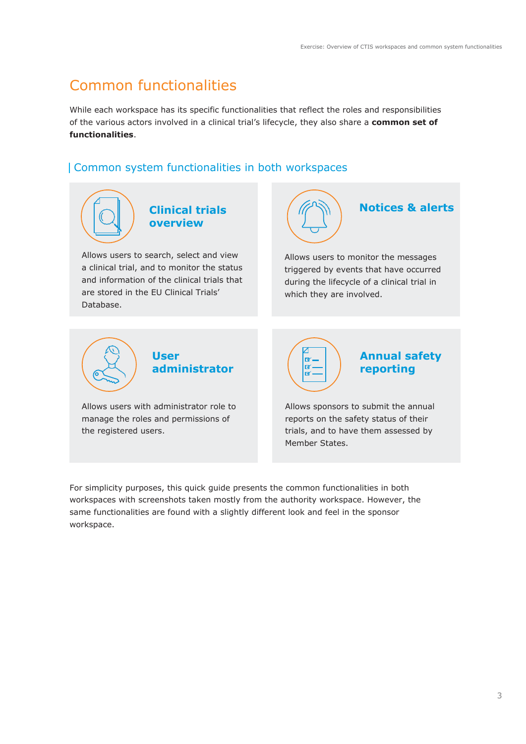## Common functionalities

While each workspace has its specific functionalities that reflect the roles and responsibilities of the various actors involved in a clinical trial's lifecycle, they also share a **common set of functionalities**.

#### Common system functionalities in both workspaces



For simplicity purposes, this quick guide presents the common functionalities in both workspaces with screenshots taken mostly from the authority workspace. However, the same functionalities are found with a slightly different look and feel in the sponsor workspace.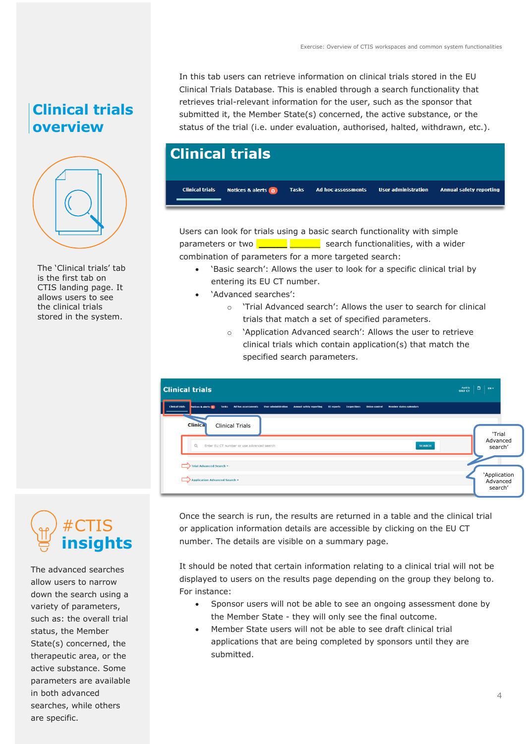## **Clinical trials overview**



The 'Clinical trials' tab is the first tab on CTIS landing page. It allows users to see the clinical trials stored in the system.

In this tab users can retrieve information on clinical trials stored in the EU Clinical Trials Database. This is enabled through a search functionality that retrieves trial-relevant information for the user, such as the sponsor that submitted it, the Member State(s) concerned, the active substance, or the status of the trial (i.e. under evaluation, authorised, halted, withdrawn, etc.).

## **Clinical trials**



Users can look for trials using a basic search functionality with simple parameters or two **\_\_\_\_\_\_ \_\_\_\_\_** search functionalities, with a wider combination of parameters for a more targeted search:

- 'Basic search': Allows the user to look for a specific clinical trial by entering its EU CT number.
- 'Advanced searches':
	- o 'Trial Advanced search': Allows the user to search for clinical trials that match a set of specified parameters.
	- o 'Application Advanced search': Allows the user to retrieve clinical trials which contain application(s) that match the specified search parameters.

| <b>Clinical trials</b>                                                                                                                                                                                                    |  |                                     |  |  |
|---------------------------------------------------------------------------------------------------------------------------------------------------------------------------------------------------------------------------|--|-------------------------------------|--|--|
| <b>Clinical trials</b><br>Tasks Ad hoc assessments User administration Annual safety reporting<br>Notices & alerts 0<br><b>Inspections</b><br><b>BI</b> reports<br><b>Union control</b><br><b>Hember states calendars</b> |  |                                     |  |  |
| <b>Clinica</b><br><b>Clinical Trials</b><br>Q<br>Enter EU CT number or use advanced search<br><b>SEARCH</b>                                                                                                               |  | 'Trial<br>Advanced<br>search'       |  |  |
| Trial Advanced Search *<br><b>Application Advanced Search *</b>                                                                                                                                                           |  | 'Application<br>Advanced<br>search' |  |  |



The advanced searches allow users to narrow down the search using a variety of parameters, such as: the overall trial status, the Member State(s) concerned, the therapeutic area, or the active substance. Some parameters are available in both advanced searches, while others are specific.

Once the search is run, the results are returned in a table and the clinical trial or application information details are accessible by clicking on the EU CT number. The details are visible on a summary page.

It should be noted that certain information relating to a clinical trial will not be displayed to users on the results page depending on the group they belong to. For instance:

- Sponsor users will not be able to see an ongoing assessment done by the Member State - they will only see the final outcome.
- Member State users will not be able to see draft clinical trial applications that are being completed by sponsors until they are submitted.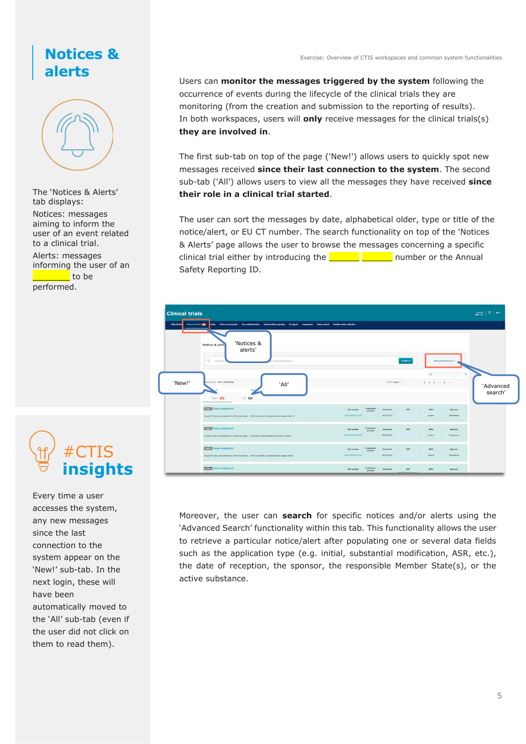#### **Notices & alerts**



The 'Notices & Alerts' tab displays: Notices: messages aiming to inform the user of an event related to a clinical trial. Alerts: messages informing the user of an \_\_\_\_\_\_ to be

performed.

Exercise: Overview of CTIS workspaces and common system functionalities

Users can **monitor the messages triggered by the system** following the occurrence of events during the lifecycle of the clinical trials they are monitoring (from the creation and submission to the reporting of results). In both workspaces, users will **only** receive messages for the clinical trials(s) **they are involved in**.

The first sub-tab on top of the page ('New!') allows users to quickly spot new messages received **since their last connection to the system**. The second sub-tab ('All') allows users to view all the messages they have received **since their role in a clinical trial started**.

The user can sort the messages by date, alphabetical older, type or title of the notice/alert, or EU CT number. The search functionality on top of the 'Notices & Alerts' page allows the user to browse the messages concerning a specific clinical trial either by introducing the  $\Box$   $\Box$  number or the Annual Safety Reporting ID.



Moreover, the user can **search** for specific notices and/or alerts using the 'Advanced Search' functionality within this tab. This functionality allows the user to retrieve a particular notice/alert after populating one or several data fields such as the application type (e.g. initial, substantial modification, ASR, etc.), the date of reception, the sponsor, the responsible Member State(s), or the active substance.

#CTIS **insights**

Every time a user accesses the system, any new messages since the last connection to the system appear on the 'New!' sub-tab. In the next login, these will have been automatically moved to the 'All' sub-tab (even if the user did not click on them to read them).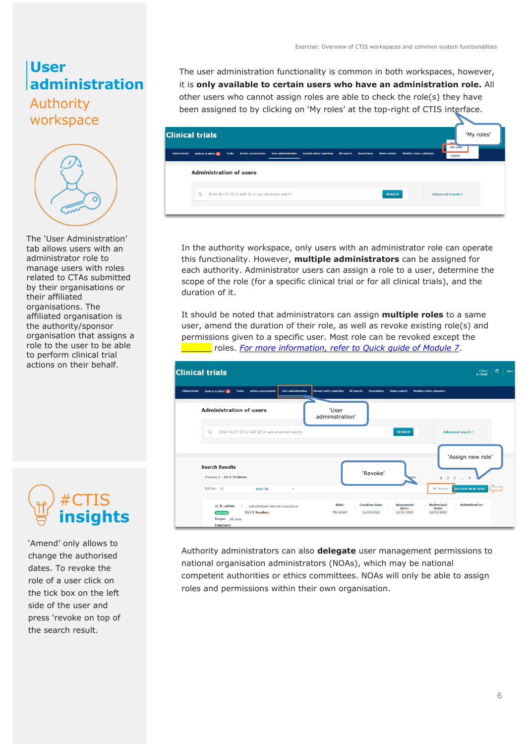#### **User administration**

#### Authority workspace



The 'User Administration' tab allows users with an administrator role to manage users with roles related to CTAs submitted by their organisations or their affiliated organisations. The affiliated organisation is the authority/sponsor organisation that assigns a role to the user to be able to perform clinical trial actions on their behalf.



'Amend' only allows to change the authorised dates. To revoke the role of a user click on the tick box on the left side of the user and press 'revoke on top of the search result.

The user administration functionality is common in both workspaces, however, it is **only available to certain users who have an administration role.** All other users who cannot assign roles are able to check the role(s) they have been assigned to by clicking on 'My roles' at the top-right of CTIS interface.

| <b>Clinical trials</b><br>Ad hoc assessments User administration<br>Notices & alerts 0<br><b>Tasks</b><br><b>Annual safety reporting</b><br><b>Inspections</b><br><b>Union control</b><br><b>Member states calendars</b><br><b>BI</b> reports<br>Logout<br><b>Administration of users</b><br>$\alpha$<br>Enter EU CT ID or ASR ID or use advanced search<br><b>SEARCH</b><br>Advanced search - | <b>Clinical trials</b> |  |  |  |  | Per<br>My roles | 'My roles' |  |
|------------------------------------------------------------------------------------------------------------------------------------------------------------------------------------------------------------------------------------------------------------------------------------------------------------------------------------------------------------------------------------------------|------------------------|--|--|--|--|-----------------|------------|--|
|                                                                                                                                                                                                                                                                                                                                                                                                |                        |  |  |  |  |                 |            |  |
|                                                                                                                                                                                                                                                                                                                                                                                                |                        |  |  |  |  |                 |            |  |
|                                                                                                                                                                                                                                                                                                                                                                                                |                        |  |  |  |  |                 |            |  |

In the authority workspace, only users with an administrator role can operate this functionality. However, **multiple administrators** can be assigned for each authority. Administrator users can assign a role to a user, determine the scope of the role (for a specific clinical trial or for all clinical trials), and the duration of it.

It should be noted that administrators can assign **multiple roles** to a same user, amend the duration of their role, as well as revoke existing role(s) and permissions given to a specific user. Most role can be revoked except the \_\_\_\_\_\_ roles. *For more information, refer to Quick guide of Module 7*.

| <b>Clinical trials</b>                                                                                                      |                                                                                                                                 | ö<br>France<br>$EW$ $\sim$<br>x ctuat                                                                        |
|-----------------------------------------------------------------------------------------------------------------------------|---------------------------------------------------------------------------------------------------------------------------------|--------------------------------------------------------------------------------------------------------------|
| <b>Clinical trials</b><br>Notices & alerts 0<br><b>Ad hoc assessments</b><br><b>Tasks</b>                                   | <b>User administration</b><br><b>Annual safety reporting</b><br><b>BI</b> reports<br><b>Inspections</b><br><b>Union control</b> | <b>Member states calendars</b>                                                                               |
| <b>Administration of users</b>                                                                                              | 'User<br>administration'                                                                                                        |                                                                                                              |
| $\Omega$<br>Enter EU CT ID or ASR ID or use advanced search                                                                 |                                                                                                                                 | Advanced search -<br><b>SEARCH</b>                                                                           |
|                                                                                                                             |                                                                                                                                 | 'Assign new role'                                                                                            |
| <b>Search Results</b><br>Showing 1 - 10 of 55 items                                                                         | 'Revoke'                                                                                                                        | ages<br>$\leftarrow$ 1 2 3<br>6<br><b>Section</b>                                                            |
| Sort by: 11<br><b>User Id</b>                                                                                               | ۰                                                                                                                               | <b>Streware ASSIGN NEW ROLE</b>                                                                              |
| ct_fr_admin<br>uat.ct66@ext-test.ema.europa.eu<br><b>EU CT Number:</b><br>approved<br>Scope: All trials<br><b>Employer:</b> | Role:<br><b>Creation date:</b><br><b>MS Admin</b><br>12/03/2020                                                                 | <b>Authorised</b><br><b>Authorised to:</b><br><b>Assesment</b><br>date:<br>from:<br>12/03/2020<br>12/03/2020 |

Authority administrators can also **delegate** user management permissions to national organisation administrators (NOAs), which may be national competent authorities or ethics committees. NOAs will only be able to assign roles and permissions within their own organisation.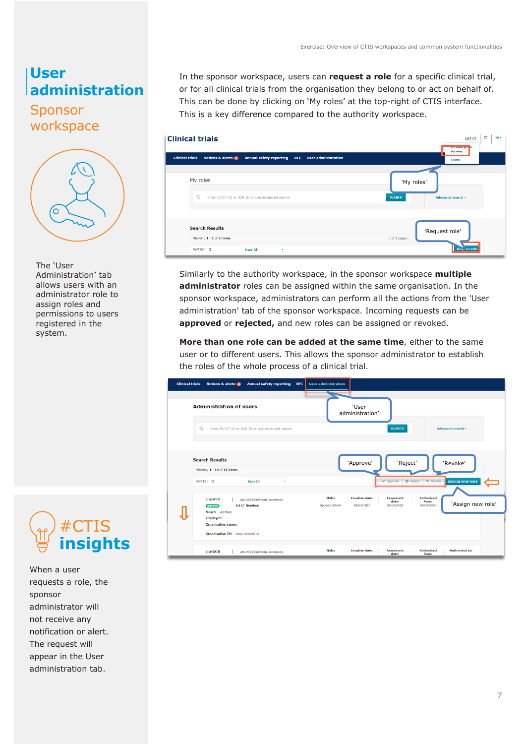## **User administration**

#### Sponsor workspace



The 'User Administration' tab allows users with an administrator role to assign roles and permissions to users registered in the system.



When a user requests a role, the sponsor administrator will not receive any notification or alert. The request will appear in the User administration tab.

In the sponsor workspace, users can **request a role** for a specific clinical trial, or for all clinical trials from the organisation they belong to or act on behalf of. This can be done by clicking on 'My roles' at the top-right of CTIS interface. This is a key difference compared to the authority workspace.

| <b>Clinical trials</b>                                                                                                     | ö<br>EN v<br><b>UAT CT</b><br><b>Personal proj</b> le |
|----------------------------------------------------------------------------------------------------------------------------|-------------------------------------------------------|
| <b>Clinical trials</b><br>Notices & alerts 0<br><b>Annual safety reporting</b><br><b>User administration</b><br><b>RFI</b> | My roles<br>Logout                                    |
| My roles<br>$\Omega$<br>Enter EU CT ID or ASR ID or use advanced search                                                    | 'My roles'<br><b>SEARCH</b><br>Advanced search +      |
| <b>Search Results</b><br>Showing 1 - 2 of 2 items<br>Sort by: 11<br><b>User Id</b><br>$\mathbf{v}$                         | 'Request role'<br>1 of 1 pages<br>Res. st role        |

Similarly to the authority workspace, in the sponsor workspace **multiple administrator** roles can be assigned within the same organisation. In the sponsor workspace, administrators can perform all the actions from the 'User administration' tab of the sponsor workspace. Incoming requests can be **approved** or **rejected,** and new roles can be assigned or revoked.

**More than one role can be added at the same time**, either to the same user or to different users. This allows the sponsor administrator to establish the roles of the whole process of a clinical trial.

| <b>Clinical trials</b> | <b>Annual safety reporting</b><br>Notices & alerts @<br><b>RFI</b>                                | <b>User administration</b>                                                                                                                                                |
|------------------------|---------------------------------------------------------------------------------------------------|---------------------------------------------------------------------------------------------------------------------------------------------------------------------------|
|                        |                                                                                                   |                                                                                                                                                                           |
|                        | <b>Administration of users</b>                                                                    | 'User<br>administration'                                                                                                                                                  |
|                        | $\Omega$<br>Enter EU CT ID or ASR ID or use advanced search                                       | <b>SEARCH</b><br>Advanced search =                                                                                                                                        |
|                        |                                                                                                   |                                                                                                                                                                           |
|                        | <b>Search Results</b>                                                                             | 'Reject'<br>'Approve'<br>'Revoke'                                                                                                                                         |
|                        | Showing 1 - 10 of 12 items                                                                        |                                                                                                                                                                           |
|                        | Sort by: 11<br><b>User Id</b><br>٠                                                                | O Reject + Revoke<br>Approve<br><b>ASSIGN NEW ROLE</b>                                                                                                                    |
|                        | ctuat 772<br>uat.ct632@ext.ema.europa.eu<br><b>EU CT Number:</b><br>approved<br>Scope: All trials | <b>Creation date:</b><br><b>Authorised</b><br>Role:<br><b>Assesment</b><br>from:<br>date:<br>'Assign new role'<br>18/03/2020<br>Sponsor Admin<br>18/03/2020<br>18/03/2020 |
|                        | <b>Employer:</b>                                                                                  |                                                                                                                                                                           |
|                        | <b>Organisation name:</b>                                                                         |                                                                                                                                                                           |
|                        | Organisation Id: ORG-100000101                                                                    |                                                                                                                                                                           |
|                        | ctuat078<br>uat.ct125@ext.ema.europa.eu                                                           | Role:<br><b>Creation date:</b><br><b>Authorised</b><br><b>Authorised to:</b><br><b>Assesment</b><br>date:<br>from:                                                        |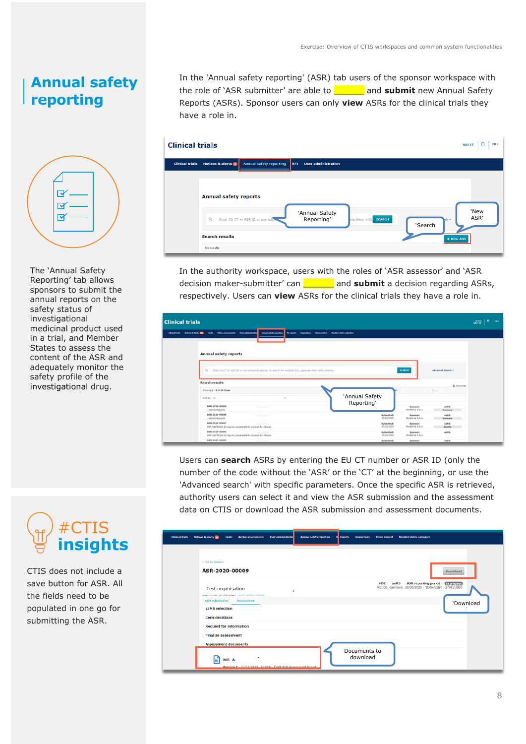### **Annual safety reporting**



The 'Annual Safety Reporting' tab allows sponsors to submit the annual reports on the safety status of investigational medicinal product used in a trial, and Member States to assess the content of the ASR and adequately monitor the safety profile of the investigational drug.



CTIS does not include a save button for ASR. All the fields need to be populated in one go for submitting the ASR.

In the 'Annual safety reporting' (ASR) tab users of the sponsor workspace with the role of 'ASR submitter' are able to \_\_\_\_\_\_ and **submit** new Annual Safety Reports (ASRs). Sponsor users can only **view** ASRs for the clinical trials they have a role in.

| <b>Clinical trials</b> |                              |                                  |                                          |                      |                 | Ö<br>$EN \cong$<br><b>UAT CT</b> |
|------------------------|------------------------------|----------------------------------|------------------------------------------|----------------------|-----------------|----------------------------------|
| <b>Clinical trials</b> | Notices & alerts o           | <b>Annual safety reporting</b>   | <b>User administration</b><br><b>RFI</b> |                      |                 |                                  |
|                        | <b>Annual safety reports</b> |                                  |                                          |                      |                 |                                  |
|                        | $\Omega$                     | Enter EU CT or ASR ID or use adv | 'Annual Safety<br>Reporting'             | ste them with SEARCH | kh +<br>'Search | 'New<br>ASR'                     |
|                        | <b>Search results</b>        |                                  |                                          |                      |                 | + NEW ASR                        |
|                        | No results                   |                                  |                                          |                      |                 |                                  |

In the authority workspace, users with the roles of 'ASR assessor' and 'ASR decision maker-submitter' can \_\_\_\_\_\_ and **submit** a decision regarding ASRs, respectively. Users can **view** ASRs for the clinical trials they have a role in.

| <b>Clinical trials</b><br>Characteristic Motivers & shorts (1980)<br><b>Tools</b> | <b>Annual seleta reporting</b><br>After processes, the absentional                                        | Mingrate Imperium this color modernizes calculate |                                 |                                |                                  | $\bullet$<br>$\frac{1}{1000}$<br>$-$ |
|-----------------------------------------------------------------------------------|-----------------------------------------------------------------------------------------------------------|---------------------------------------------------|---------------------------------|--------------------------------|----------------------------------|--------------------------------------|
| <b>Annual safety reports</b>                                                      |                                                                                                           |                                                   |                                 |                                |                                  |                                      |
| <b>Search results</b>                                                             | CL Enter EU CT or ASR ED or son advanced search. To search for multiple EDs, organists there with common. |                                                   |                                 | <b>STARCH</b>                  | Advanced Search +<br>A Doorlined |                                      |
| Showing 1 - 8 of 10 desex                                                         |                                                                                                           |                                                   |                                 |                                | $-1 - 1$                         |                                      |
| Dart Byr. 10                                                                      |                                                                                                           |                                                   | 'Annual Safety<br>Reporting'    |                                |                                  |                                      |
| ASK-2020-00009<br>- HETHOTREVATE                                                  | <b>STEERING</b>                                                                                           |                                                   |                                 | Novemann:<br>Biolterica S.A.U. | sabble.<br>Cormony               |                                      |
| ASR-2020-00008<br>: Intheofaguate                                                 | <b>STANDARD</b>                                                                                           |                                                   | Submitted:<br>37/03/2020        | Sponsor:<br>Bollerica S.A.U.   | saith.<br>Germany                |                                      |
| ASE-3036-00087                                                                    | <b>Scott Commercial</b><br>2HP: KEYTRUDA 25 mg/m), consentrate for solution for infusion                  |                                                   | Submitted:<br>27/03/2629        | Sponsor:<br>Biolognica S.A.U.  | sales.<br>Austria                |                                      |
| ASR-3036-00006                                                                    | <b>SCOUTS</b><br>DW: KEYTRUDA 25 mg/mL consentrate for actuates for infusion                              |                                                   | <b>Submitted:</b><br>27/03/2020 | Sponson<br>Bioberica S.A.U.    | 44545:                           |                                      |
| ASR-3030-00005                                                                    |                                                                                                           |                                                   | Schmitted:                      | Sponsor:                       | sales                            |                                      |

Users can **search** ASRs by entering the EU CT number or ASR ID (only the number of the code without the 'ASR' or the 'CT' at the beginning, or use the 'Advanced search' with specific parameters. Once the specific ASR is retrieved, authority users can select it and view the ASR submission and the assessment data on CTIS or download the ASR submission and assessment documents.

| <b>Clinical trials</b> | <b>Notices &amp; alerts (B)</b><br>Tasks Ad hoc assessments<br>User administratio<br><b>Annual safety reporting</b><br><b>Inspections</b> Union control<br><b>Hember states calendars</b><br>reports |
|------------------------|------------------------------------------------------------------------------------------------------------------------------------------------------------------------------------------------------|
|                        |                                                                                                                                                                                                      |
|                        | € Go to search<br>ASR-2020-00009<br>Download                                                                                                                                                         |
|                        | <b>ASR</b> reporting period<br>In progress<br><b>MSC</b><br>saMS<br>RO, DE Germany 28/03/2020 - 11/04/2020 27/03/2020<br>Test organisation                                                           |
|                        | <b>ASR</b> submission<br><b>Assessment</b><br>'Download<br>saMS selection                                                                                                                            |
|                        | <b>Considerations</b>                                                                                                                                                                                |
|                        | <b>Request for information</b>                                                                                                                                                                       |
|                        | <b>Finalise assessment</b>                                                                                                                                                                           |
|                        | <b>Assessment documents</b>                                                                                                                                                                          |
|                        | Documents to<br>download<br>$\,$<br>۱w<br>DAR 上<br>Mersion 1 - 27/03/2020 - English - Draft ASP Accessment Report                                                                                    |